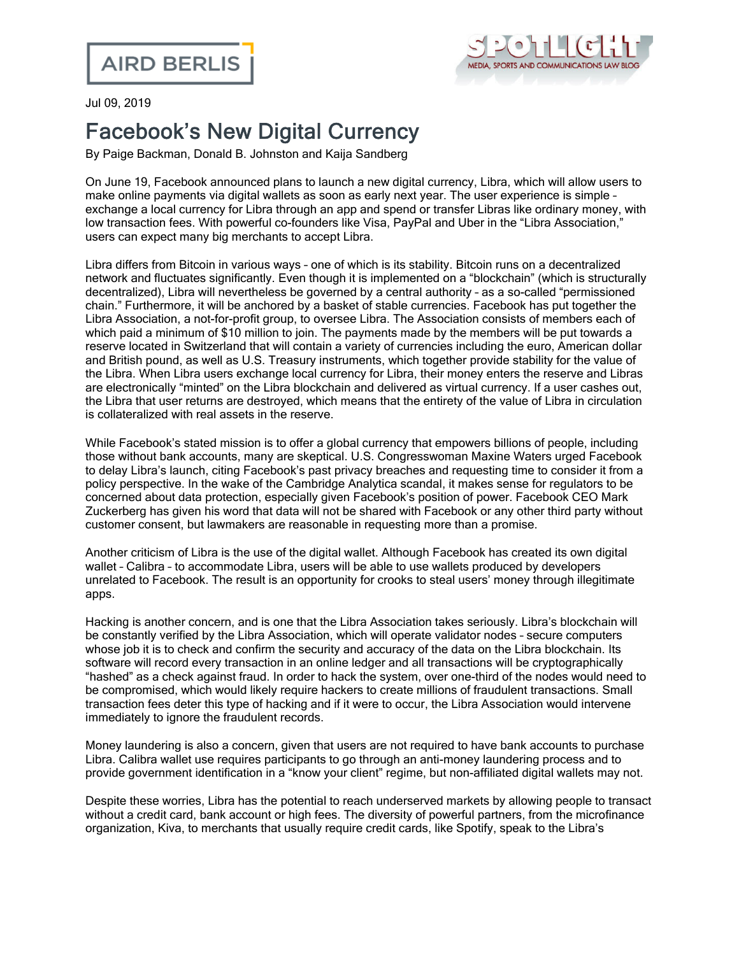

Jul 09, 2019

## Facebook's New Digital Currency

By Paige Backman, Donald B. Johnston and Kaija Sandberg

On June 19, Facebook announced plans to launch a new digital currency, Libra, which will allow users to make online payments via digital wallets as soon as early next year. The user experience is simple – exchange a local currency for Libra through an app and spend or transfer Libras like ordinary money, with low transaction fees. With powerful co-founders like Visa, PayPal and Uber in the "Libra Association," users can expect many big merchants to accept Libra.

Libra differs from Bitcoin in various ways – one of which is its stability. Bitcoin runs on a decentralized network and fluctuates significantly. Even though it is implemented on a "blockchain" (which is structurally decentralized), Libra will nevertheless be governed by a central authority – as a so-called "permissioned chain." Furthermore, it will be anchored by a basket of stable currencies. Facebook has put together the Libra Association, a not-for-profit group, to oversee Libra. The Association consists of members each of which paid a minimum of \$10 million to join. The payments made by the members will be put towards a reserve located in Switzerland that will contain a variety of currencies including the euro, American dollar and British pound, as well as U.S. Treasury instruments, which together provide stability for the value of the Libra. When Libra users exchange local currency for Libra, their money enters the reserve and Libras are electronically "minted" on the Libra blockchain and delivered as virtual currency. If a user cashes out, the Libra that user returns are destroyed, which means that the entirety of the value of Libra in circulation is collateralized with real assets in the reserve.

While Facebook's stated mission is to offer a global currency that empowers billions of people, including those without bank accounts, many are skeptical. U.S. Congresswoman Maxine Waters urged Facebook to delay Libra's launch, citing Facebook's past privacy breaches and requesting time to consider it from a policy perspective. In the wake of the Cambridge Analytica scandal, it makes sense for regulators to be concerned about data protection, especially given Facebook's position of power. Facebook CEO Mark Zuckerberg has given his word that data will not be shared with Facebook or any other third party without customer consent, but lawmakers are reasonable in requesting more than a promise.

Another criticism of Libra is the use of the digital wallet. Although Facebook has created its own digital wallet – Calibra – to accommodate Libra, users will be able to use wallets produced by developers unrelated to Facebook. The result is an opportunity for crooks to steal users' money through illegitimate apps.

Hacking is another concern, and is one that the Libra Association takes seriously. Libra's blockchain will be constantly verified by the Libra Association, which will operate validator nodes – secure computers whose job it is to check and confirm the security and accuracy of the data on the Libra blockchain. Its software will record every transaction in an online ledger and all transactions will be cryptographically "hashed" as a check against fraud. In order to hack the system, over one-third of the nodes would need to be compromised, which would likely require hackers to create millions of fraudulent transactions. Small transaction fees deter this type of hacking and if it were to occur, the Libra Association would intervene immediately to ignore the fraudulent records.

Money laundering is also a concern, given that users are not required to have bank accounts to purchase Libra. Calibra wallet use requires participants to go through an anti-money laundering process and to provide government identification in a "know your client" regime, but non-affiliated digital wallets may not.

Despite these worries, Libra has the potential to reach underserved markets by allowing people to transact without a credit card, bank account or high fees. The diversity of powerful partners, from the microfinance organization, Kiva, to merchants that usually require credit cards, like Spotify, speak to the Libra's